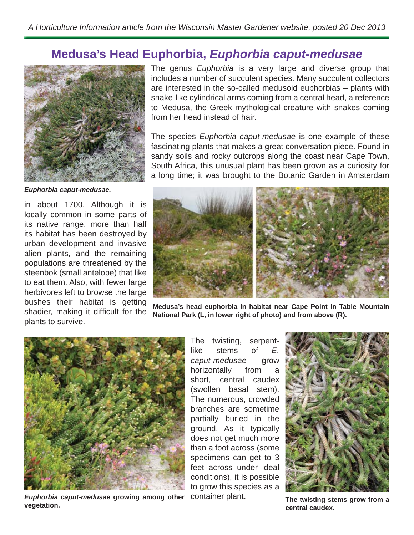## **Medusa's Head Euphorbia,** *Euphorbia caput-medusae*



*Euphorbia caput-medusae.*

in about 1700. Although it is locally common in some parts of its native range, more than half its habitat has been destroyed by urban development and invasive alien plants, and the remaining populations are threatened by the steenbok (small antelope) that like to eat them. Also, with fewer large herbivores left to browse the large bushes their habitat is getting shadier, making it difficult for the plants to survive.

The genus *Euphorbia* is a very large and diverse group that includes a number of succulent species. Many succulent collectors are interested in the so-called medusoid euphorbias – plants with snake-like cylindrical arms coming from a central head, a reference to Medusa, the Greek mythological creature with snakes coming from her head instead of hair.

The species *Euphorbia caput-medusae* is one example of these fascinating plants that makes a great conversation piece. Found in sandy soils and rocky outcrops along the coast near Cape Town, South Africa, this unusual plant has been grown as a curiosity for a long time; it was brought to the Botanic Garden in Amsterdam



**Medusa's head euphorbia in habitat near Cape Point in Table Mountain National Park (L, in lower right of photo) and from above (R).**



container plant. *Euphorbia caput-medusae* **growing among other vegetation. The twisting stems grow from a** 

The twisting, serpentlike stems of *E. caput-medusae* grow horizontally from a short, central caudex (swollen basal stem). The numerous, crowded branches are sometime partially buried in the ground. As it typically does not get much more than a foot across (some specimens can get to 3 feet across under ideal conditions), it is possible to grow this species as a



**central caudex.**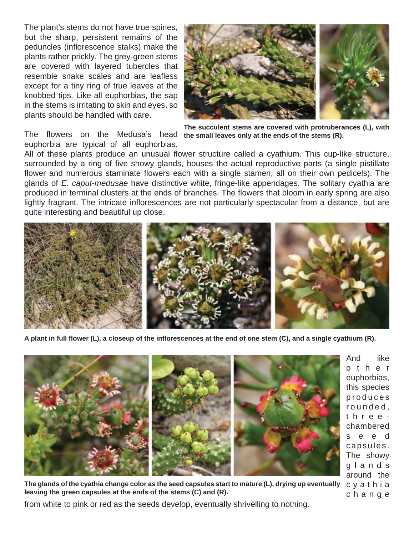The plant's stems do not have true spines, but the sharp, persistent remains of the peduncles (inflorescence stalks) make the plants rather prickly. The grey-green stems are covered with layered tubercles that resemble snake scales and are leafless except for a tiny ring of true leaves at the knobbed tips. Like all euphorbias, the sap in the stems is irritating to skin and eyes, so plants should be handled with care.



The flowers on the Medusa's head the small leaves only at the ends of the stems (R). **The succulent stems are covered with protruberances (L), with** 

euphorbia are typical of all euphorbias. All of these plants produce an unusual flower structure called a cyathium. This cup-like structure, surrounded by a ring of five showy glands, houses the actual reproductive parts (a single pistillate flower and numerous staminate flowers each with a single stamen, all on their own pedicels). The glands of *E. caput-medusae* have distinctive white, fringe-like appendages. The solitary cyathia are produced in terminal clusters at the ends of branches. The flowers that bloom in early spring are also lightly fragrant. The intricate inflorescences are not particularly spectacular from a distance, but are quite interesting and beautiful up close.



**A plant in full fl ower (L), a closeup of the infl orescences at the end of one stem (C), and a single cyathium (R).**



**The glands of the cyathia change color as the seed capsules start to mature (L), drying up eventually leaving the green capsules at the ends of the stems (C) and (R).**

from white to pink or red as the seeds develop, eventually shrivelling to nothing.

And like o t h e r euphorbias, this species p r o d u c e s rounded. threechambered s e e d capsules. The showy g l a n d s around the c y a t h i a c h a n g e